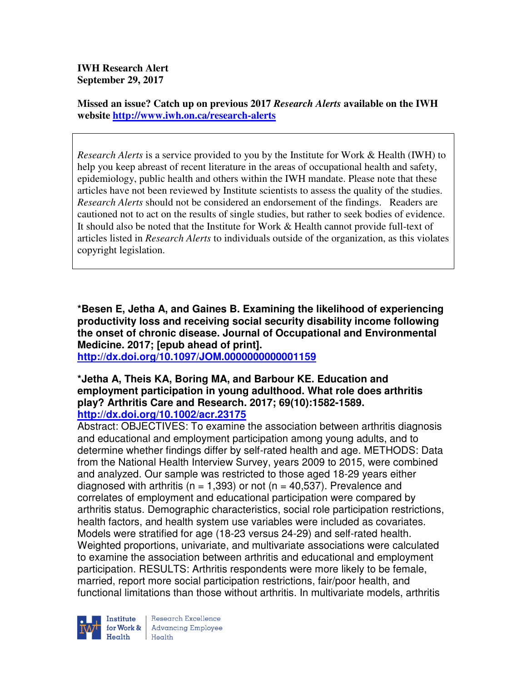**IWH Research Alert September 29, 2017** 

**Missed an issue? Catch up on previous 2017** *Research Alerts* **available on the IWH website http://www.iwh.on.ca/research-alerts**

*Research Alerts* is a service provided to you by the Institute for Work & Health (IWH) to help you keep abreast of recent literature in the areas of occupational health and safety, epidemiology, public health and others within the IWH mandate. Please note that these articles have not been reviewed by Institute scientists to assess the quality of the studies. *Research Alerts* should not be considered an endorsement of the findings. Readers are cautioned not to act on the results of single studies, but rather to seek bodies of evidence. It should also be noted that the Institute for Work & Health cannot provide full-text of articles listed in *Research Alerts* to individuals outside of the organization, as this violates copyright legislation.

**\*Besen E, Jetha A, and Gaines B. Examining the likelihood of experiencing productivity loss and receiving social security disability income following the onset of chronic disease. Journal of Occupational and Environmental Medicine. 2017; [epub ahead of print].** 

**http://dx.doi.org/10.1097/JOM.0000000000001159** 

#### **\*Jetha A, Theis KA, Boring MA, and Barbour KE. Education and employment participation in young adulthood. What role does arthritis play? Arthritis Care and Research. 2017; 69(10):1582-1589. http://dx.doi.org/10.1002/acr.23175**

Abstract: OBJECTIVES: To examine the association between arthritis diagnosis and educational and employment participation among young adults, and to determine whether findings differ by self-rated health and age. METHODS: Data from the National Health Interview Survey, years 2009 to 2015, were combined and analyzed. Our sample was restricted to those aged 18-29 years either diagnosed with arthritis ( $n = 1,393$ ) or not ( $n = 40,537$ ). Prevalence and correlates of employment and educational participation were compared by arthritis status. Demographic characteristics, social role participation restrictions, health factors, and health system use variables were included as covariates. Models were stratified for age (18-23 versus 24-29) and self-rated health. Weighted proportions, univariate, and multivariate associations were calculated to examine the association between arthritis and educational and employment participation. RESULTS: Arthritis respondents were more likely to be female, married, report more social participation restrictions, fair/poor health, and functional limitations than those without arthritis. In multivariate models, arthritis



Research Excellence **Advancing Employee** Health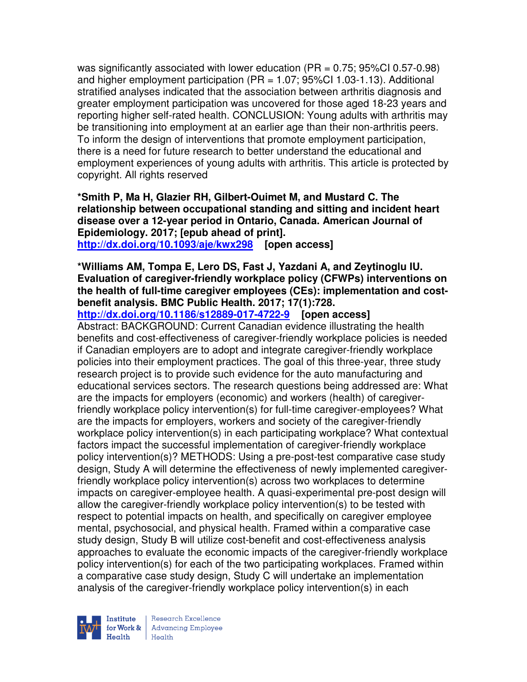was significantly associated with lower education (PR = 0.75; 95%CI 0.57-0.98) and higher employment participation  $(PR = 1.07; 95\% CI 1.03-1.13)$ . Additional stratified analyses indicated that the association between arthritis diagnosis and greater employment participation was uncovered for those aged 18-23 years and reporting higher self-rated health. CONCLUSION: Young adults with arthritis may be transitioning into employment at an earlier age than their non-arthritis peers. To inform the design of interventions that promote employment participation, there is a need for future research to better understand the educational and employment experiences of young adults with arthritis. This article is protected by copyright. All rights reserved

**\*Smith P, Ma H, Glazier RH, Gilbert-Ouimet M, and Mustard C. The relationship between occupational standing and sitting and incident heart disease over a 12-year period in Ontario, Canada. American Journal of Epidemiology. 2017; [epub ahead of print]. http://dx.doi.org/10.1093/aje/kwx298 [open access]** 

# **\*Williams AM, Tompa E, Lero DS, Fast J, Yazdani A, and Zeytinoglu IU. Evaluation of caregiver-friendly workplace policy (CFWPs) interventions on the health of full-time caregiver employees (CEs): implementation and costbenefit analysis. BMC Public Health. 2017; 17(1):728.**

**http://dx.doi.org/10.1186/s12889-017-4722-9 [open access]** Abstract: BACKGROUND: Current Canadian evidence illustrating the health benefits and cost-effectiveness of caregiver-friendly workplace policies is needed if Canadian employers are to adopt and integrate caregiver-friendly workplace policies into their employment practices. The goal of this three-year, three study research project is to provide such evidence for the auto manufacturing and educational services sectors. The research questions being addressed are: What are the impacts for employers (economic) and workers (health) of caregiverfriendly workplace policy intervention(s) for full-time caregiver-employees? What are the impacts for employers, workers and society of the caregiver-friendly workplace policy intervention(s) in each participating workplace? What contextual factors impact the successful implementation of caregiver-friendly workplace policy intervention(s)? METHODS: Using a pre-post-test comparative case study design, Study A will determine the effectiveness of newly implemented caregiverfriendly workplace policy intervention(s) across two workplaces to determine impacts on caregiver-employee health. A quasi-experimental pre-post design will allow the caregiver-friendly workplace policy intervention(s) to be tested with respect to potential impacts on health, and specifically on caregiver employee mental, psychosocial, and physical health. Framed within a comparative case study design, Study B will utilize cost-benefit and cost-effectiveness analysis approaches to evaluate the economic impacts of the caregiver-friendly workplace policy intervention(s) for each of the two participating workplaces. Framed within a comparative case study design, Study C will undertake an implementation analysis of the caregiver-friendly workplace policy intervention(s) in each

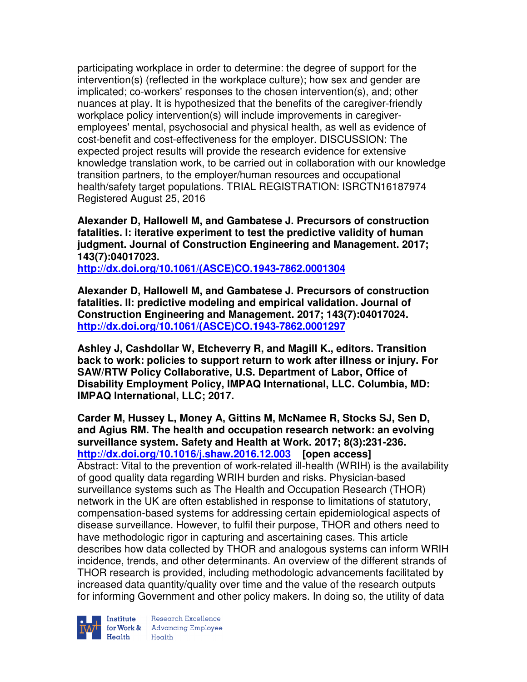participating workplace in order to determine: the degree of support for the intervention(s) (reflected in the workplace culture); how sex and gender are implicated; co-workers' responses to the chosen intervention(s), and; other nuances at play. It is hypothesized that the benefits of the caregiver-friendly workplace policy intervention(s) will include improvements in caregiveremployees' mental, psychosocial and physical health, as well as evidence of cost-benefit and cost-effectiveness for the employer. DISCUSSION: The expected project results will provide the research evidence for extensive knowledge translation work, to be carried out in collaboration with our knowledge transition partners, to the employer/human resources and occupational health/safety target populations. TRIAL REGISTRATION: ISRCTN16187974 Registered August 25, 2016

**Alexander D, Hallowell M, and Gambatese J. Precursors of construction fatalities. I: iterative experiment to test the predictive validity of human judgment. Journal of Construction Engineering and Management. 2017; 143(7):04017023.** 

**http://dx.doi.org/10.1061/(ASCE)CO.1943-7862.0001304** 

**Alexander D, Hallowell M, and Gambatese J. Precursors of construction fatalities. II: predictive modeling and empirical validation. Journal of Construction Engineering and Management. 2017; 143(7):04017024. http://dx.doi.org/10.1061/(ASCE)CO.1943-7862.0001297** 

**Ashley J, Cashdollar W, Etcheverry R, and Magill K., editors. Transition back to work: policies to support return to work after illness or injury. For SAW/RTW Policy Collaborative, U.S. Department of Labor, Office of Disability Employment Policy, IMPAQ International, LLC. Columbia, MD: IMPAQ International, LLC; 2017.** 

**Carder M, Hussey L, Money A, Gittins M, McNamee R, Stocks SJ, Sen D, and Agius RM. The health and occupation research network: an evolving surveillance system. Safety and Health at Work. 2017; 8(3):231-236. http://dx.doi.org/10.1016/j.shaw.2016.12.003 [open access]** Abstract: Vital to the prevention of work-related ill-health (WRIH) is the availability of good quality data regarding WRIH burden and risks. Physician-based surveillance systems such as The Health and Occupation Research (THOR) network in the UK are often established in response to limitations of statutory, compensation-based systems for addressing certain epidemiological aspects of disease surveillance. However, to fulfil their purpose, THOR and others need to have methodologic rigor in capturing and ascertaining cases. This article describes how data collected by THOR and analogous systems can inform WRIH incidence, trends, and other determinants. An overview of the different strands of THOR research is provided, including methodologic advancements facilitated by increased data quantity/quality over time and the value of the research outputs for informing Government and other policy makers. In doing so, the utility of data



Institute Research Excellence<br>for Work & Advancing Employee<br>Health Health  $Heath$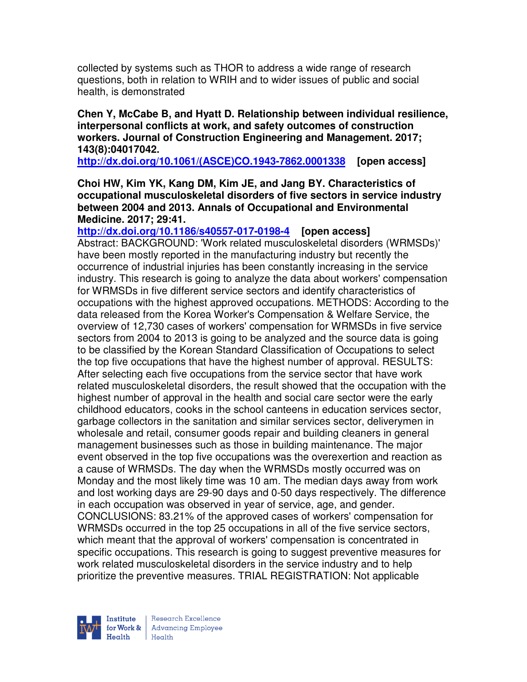collected by systems such as THOR to address a wide range of research questions, both in relation to WRIH and to wider issues of public and social health, is demonstrated

**Chen Y, McCabe B, and Hyatt D. Relationship between individual resilience, interpersonal conflicts at work, and safety outcomes of construction workers. Journal of Construction Engineering and Management. 2017; 143(8):04017042.** 

**http://dx.doi.org/10.1061/(ASCE)CO.1943-7862.0001338 [open access]** 

**Choi HW, Kim YK, Kang DM, Kim JE, and Jang BY. Characteristics of occupational musculoskeletal disorders of five sectors in service industry between 2004 and 2013. Annals of Occupational and Environmental Medicine. 2017; 29:41.** 

**http://dx.doi.org/10.1186/s40557-017-0198-4 [open access]** Abstract: BACKGROUND: 'Work related musculoskeletal disorders (WRMSDs)' have been mostly reported in the manufacturing industry but recently the occurrence of industrial injuries has been constantly increasing in the service industry. This research is going to analyze the data about workers' compensation for WRMSDs in five different service sectors and identify characteristics of occupations with the highest approved occupations. METHODS: According to the data released from the Korea Worker's Compensation & Welfare Service, the overview of 12,730 cases of workers' compensation for WRMSDs in five service sectors from 2004 to 2013 is going to be analyzed and the source data is going to be classified by the Korean Standard Classification of Occupations to select the top five occupations that have the highest number of approval. RESULTS: After selecting each five occupations from the service sector that have work related musculoskeletal disorders, the result showed that the occupation with the highest number of approval in the health and social care sector were the early childhood educators, cooks in the school canteens in education services sector, garbage collectors in the sanitation and similar services sector, deliverymen in wholesale and retail, consumer goods repair and building cleaners in general management businesses such as those in building maintenance. The major event observed in the top five occupations was the overexertion and reaction as a cause of WRMSDs. The day when the WRMSDs mostly occurred was on Monday and the most likely time was 10 am. The median days away from work and lost working days are 29-90 days and 0-50 days respectively. The difference in each occupation was observed in year of service, age, and gender. CONCLUSIONS: 83.21% of the approved cases of workers' compensation for WRMSDs occurred in the top 25 occupations in all of the five service sectors, which meant that the approval of workers' compensation is concentrated in specific occupations. This research is going to suggest preventive measures for work related musculoskeletal disorders in the service industry and to help prioritize the preventive measures. TRIAL REGISTRATION: Not applicable

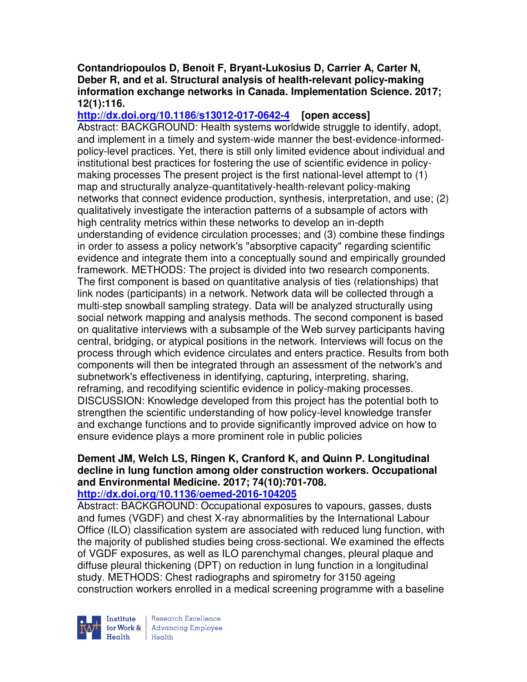### **Contandriopoulos D, Benoit F, Bryant-Lukosius D, Carrier A, Carter N, Deber R, and et al. Structural analysis of health-relevant policy-making information exchange networks in Canada. Implementation Science. 2017; 12(1):116.**

**http://dx.doi.org/10.1186/s13012-017-0642-4 [open access]** Abstract: BACKGROUND: Health systems worldwide struggle to identify, adopt, and implement in a timely and system-wide manner the best-evidence-informedpolicy-level practices. Yet, there is still only limited evidence about individual and institutional best practices for fostering the use of scientific evidence in policymaking processes The present project is the first national-level attempt to (1) map and structurally analyze-quantitatively-health-relevant policy-making networks that connect evidence production, synthesis, interpretation, and use; (2) qualitatively investigate the interaction patterns of a subsample of actors with high centrality metrics within these networks to develop an in-depth understanding of evidence circulation processes; and (3) combine these findings in order to assess a policy network's "absorptive capacity" regarding scientific evidence and integrate them into a conceptually sound and empirically grounded framework. METHODS: The project is divided into two research components. The first component is based on quantitative analysis of ties (relationships) that link nodes (participants) in a network. Network data will be collected through a multi-step snowball sampling strategy. Data will be analyzed structurally using social network mapping and analysis methods. The second component is based on qualitative interviews with a subsample of the Web survey participants having central, bridging, or atypical positions in the network. Interviews will focus on the process through which evidence circulates and enters practice. Results from both components will then be integrated through an assessment of the network's and subnetwork's effectiveness in identifying, capturing, interpreting, sharing, reframing, and recodifying scientific evidence in policy-making processes. DISCUSSION: Knowledge developed from this project has the potential both to strengthen the scientific understanding of how policy-level knowledge transfer and exchange functions and to provide significantly improved advice on how to ensure evidence plays a more prominent role in public policies

# **Dement JM, Welch LS, Ringen K, Cranford K, and Quinn P. Longitudinal decline in lung function among older construction workers. Occupational and Environmental Medicine. 2017; 74(10):701-708.**

# **http://dx.doi.org/10.1136/oemed-2016-104205**

Abstract: BACKGROUND: Occupational exposures to vapours, gasses, dusts and fumes (VGDF) and chest X-ray abnormalities by the International Labour Office (ILO) classification system are associated with reduced lung function, with the majority of published studies being cross-sectional. We examined the effects of VGDF exposures, as well as ILO parenchymal changes, pleural plaque and diffuse pleural thickening (DPT) on reduction in lung function in a longitudinal study. METHODS: Chest radiographs and spirometry for 3150 ageing construction workers enrolled in a medical screening programme with a baseline



Research Excellence for Work & | Advancing Employee  $H_{\text{each}}$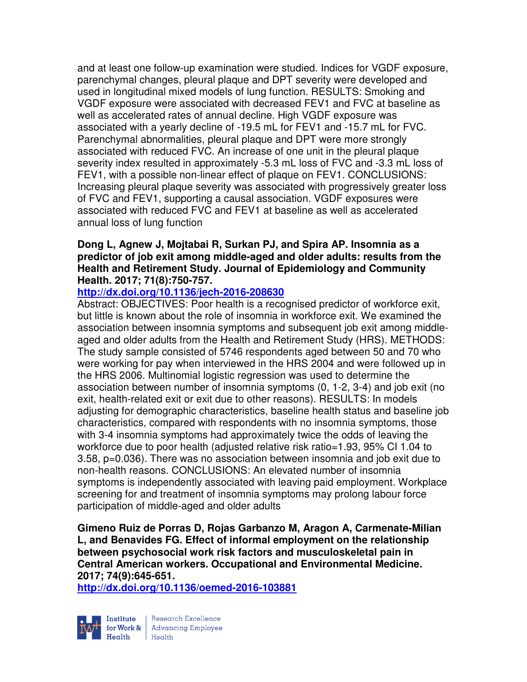and at least one follow-up examination were studied. Indices for VGDF exposure, parenchymal changes, pleural plaque and DPT severity were developed and used in longitudinal mixed models of lung function. RESULTS: Smoking and VGDF exposure were associated with decreased FEV1 and FVC at baseline as well as accelerated rates of annual decline. High VGDF exposure was associated with a yearly decline of -19.5 mL for FEV1 and -15.7 mL for FVC. Parenchymal abnormalities, pleural plaque and DPT were more strongly associated with reduced FVC. An increase of one unit in the pleural plaque severity index resulted in approximately -5.3 mL loss of FVC and -3.3 mL loss of FEV1, with a possible non-linear effect of plaque on FEV1. CONCLUSIONS: Increasing pleural plaque severity was associated with progressively greater loss of FVC and FEV1, supporting a causal association. VGDF exposures were associated with reduced FVC and FEV1 at baseline as well as accelerated annual loss of lung function

# **Dong L, Agnew J, Mojtabai R, Surkan PJ, and Spira AP. Insomnia as a predictor of job exit among middle-aged and older adults: results from the Health and Retirement Study. Journal of Epidemiology and Community Health. 2017; 71(8):750-757.**

# **http://dx.doi.org/10.1136/jech-2016-208630**

Abstract: OBJECTIVES: Poor health is a recognised predictor of workforce exit, but little is known about the role of insomnia in workforce exit. We examined the association between insomnia symptoms and subsequent job exit among middleaged and older adults from the Health and Retirement Study (HRS). METHODS: The study sample consisted of 5746 respondents aged between 50 and 70 who were working for pay when interviewed in the HRS 2004 and were followed up in the HRS 2006. Multinomial logistic regression was used to determine the association between number of insomnia symptoms (0, 1-2, 3-4) and job exit (no exit, health-related exit or exit due to other reasons). RESULTS: In models adjusting for demographic characteristics, baseline health status and baseline job characteristics, compared with respondents with no insomnia symptoms, those with 3-4 insomnia symptoms had approximately twice the odds of leaving the workforce due to poor health (adjusted relative risk ratio=1.93, 95% CI 1.04 to 3.58, p=0.036). There was no association between insomnia and job exit due to non-health reasons. CONCLUSIONS: An elevated number of insomnia symptoms is independently associated with leaving paid employment. Workplace screening for and treatment of insomnia symptoms may prolong labour force participation of middle-aged and older adults

**Gimeno Ruiz de Porras D, Rojas Garbanzo M, Aragon A, Carmenate-Milian L, and Benavides FG. Effect of informal employment on the relationship between psychosocial work risk factors and musculoskeletal pain in Central American workers. Occupational and Environmental Medicine. 2017; 74(9):645-651.** 

**http://dx.doi.org/10.1136/oemed-2016-103881** 



Research Excellence for Work & | Advancing Employee Health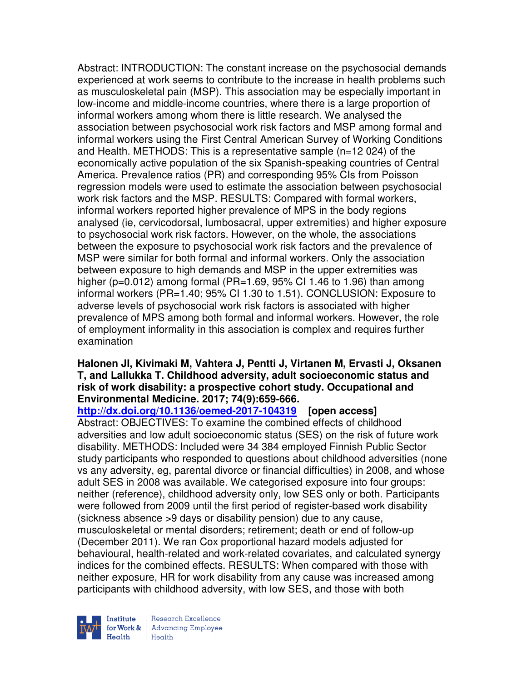Abstract: INTRODUCTION: The constant increase on the psychosocial demands experienced at work seems to contribute to the increase in health problems such as musculoskeletal pain (MSP). This association may be especially important in low-income and middle-income countries, where there is a large proportion of informal workers among whom there is little research. We analysed the association between psychosocial work risk factors and MSP among formal and informal workers using the First Central American Survey of Working Conditions and Health. METHODS: This is a representative sample (n=12 024) of the economically active population of the six Spanish-speaking countries of Central America. Prevalence ratios (PR) and corresponding 95% CIs from Poisson regression models were used to estimate the association between psychosocial work risk factors and the MSP. RESULTS: Compared with formal workers, informal workers reported higher prevalence of MPS in the body regions analysed (ie, cervicodorsal, lumbosacral, upper extremities) and higher exposure to psychosocial work risk factors. However, on the whole, the associations between the exposure to psychosocial work risk factors and the prevalence of MSP were similar for both formal and informal workers. Only the association between exposure to high demands and MSP in the upper extremities was higher ( $p=0.012$ ) among formal (PR=1.69, 95% CI 1.46 to 1.96) than among informal workers (PR=1.40; 95% CI 1.30 to 1.51). CONCLUSION: Exposure to adverse levels of psychosocial work risk factors is associated with higher prevalence of MPS among both formal and informal workers. However, the role of employment informality in this association is complex and requires further examination

# **Halonen JI, Kivimaki M, Vahtera J, Pentti J, Virtanen M, Ervasti J, Oksanen T, and Lallukka T. Childhood adversity, adult socioeconomic status and risk of work disability: a prospective cohort study. Occupational and Environmental Medicine. 2017; 74(9):659-666.**

**http://dx.doi.org/10.1136/oemed-2017-104319 [open access]** Abstract: OBJECTIVES: To examine the combined effects of childhood adversities and low adult socioeconomic status (SES) on the risk of future work disability. METHODS: Included were 34 384 employed Finnish Public Sector study participants who responded to questions about childhood adversities (none vs any adversity, eg, parental divorce or financial difficulties) in 2008, and whose adult SES in 2008 was available. We categorised exposure into four groups: neither (reference), childhood adversity only, low SES only or both. Participants were followed from 2009 until the first period of register-based work disability (sickness absence >9 days or disability pension) due to any cause, musculoskeletal or mental disorders; retirement; death or end of follow-up (December 2011). We ran Cox proportional hazard models adjusted for behavioural, health-related and work-related covariates, and calculated synergy indices for the combined effects. RESULTS: When compared with those with neither exposure, HR for work disability from any cause was increased among participants with childhood adversity, with low SES, and those with both

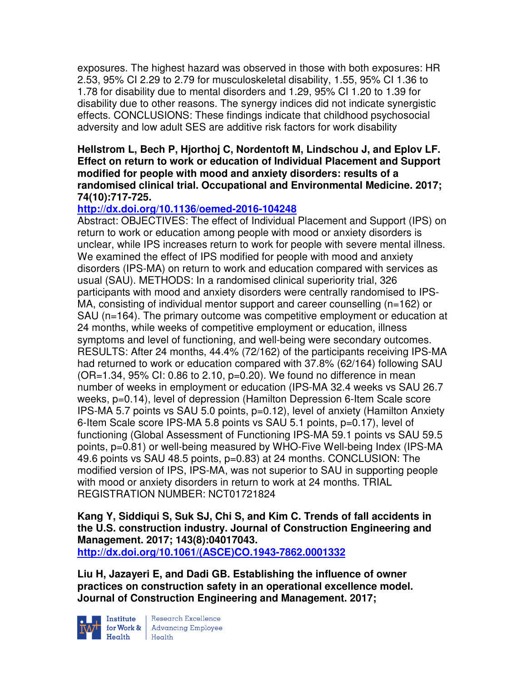exposures. The highest hazard was observed in those with both exposures: HR 2.53, 95% CI 2.29 to 2.79 for musculoskeletal disability, 1.55, 95% CI 1.36 to 1.78 for disability due to mental disorders and 1.29, 95% CI 1.20 to 1.39 for disability due to other reasons. The synergy indices did not indicate synergistic effects. CONCLUSIONS: These findings indicate that childhood psychosocial adversity and low adult SES are additive risk factors for work disability

#### **Hellstrom L, Bech P, Hjorthoj C, Nordentoft M, Lindschou J, and Eplov LF. Effect on return to work or education of Individual Placement and Support modified for people with mood and anxiety disorders: results of a randomised clinical trial. Occupational and Environmental Medicine. 2017; 74(10):717-725.**

# **http://dx.doi.org/10.1136/oemed-2016-104248**

Abstract: OBJECTIVES: The effect of Individual Placement and Support (IPS) on return to work or education among people with mood or anxiety disorders is unclear, while IPS increases return to work for people with severe mental illness. We examined the effect of IPS modified for people with mood and anxiety disorders (IPS-MA) on return to work and education compared with services as usual (SAU). METHODS: In a randomised clinical superiority trial, 326 participants with mood and anxiety disorders were centrally randomised to IPS-MA, consisting of individual mentor support and career counselling (n=162) or SAU (n=164). The primary outcome was competitive employment or education at 24 months, while weeks of competitive employment or education, illness symptoms and level of functioning, and well-being were secondary outcomes. RESULTS: After 24 months, 44.4% (72/162) of the participants receiving IPS-MA had returned to work or education compared with 37.8% (62/164) following SAU  $(OR=1.34, 95\% \text{ Cl}: 0.86 \text{ to } 2.10, p=0.20)$ . We found no difference in mean number of weeks in employment or education (IPS-MA 32.4 weeks vs SAU 26.7 weeks, p=0.14), level of depression (Hamilton Depression 6-Item Scale score IPS-MA 5.7 points vs SAU 5.0 points, p=0.12), level of anxiety (Hamilton Anxiety 6-Item Scale score IPS-MA 5.8 points vs SAU 5.1 points, p=0.17), level of functioning (Global Assessment of Functioning IPS-MA 59.1 points vs SAU 59.5 points, p=0.81) or well-being measured by WHO-Five Well-being Index (IPS-MA 49.6 points vs SAU 48.5 points, p=0.83) at 24 months. CONCLUSION: The modified version of IPS, IPS-MA, was not superior to SAU in supporting people with mood or anxiety disorders in return to work at 24 months. TRIAL REGISTRATION NUMBER: NCT01721824

**Kang Y, Siddiqui S, Suk SJ, Chi S, and Kim C. Trends of fall accidents in the U.S. construction industry. Journal of Construction Engineering and Management. 2017; 143(8):04017043. http://dx.doi.org/10.1061/(ASCE)CO.1943-7862.0001332** 

**Liu H, Jazayeri E, and Dadi GB. Establishing the influence of owner practices on construction safety in an operational excellence model. Journal of Construction Engineering and Management. 2017;** 



**Institute** Research Excellence<br> **for Work &** Advancing Employee Health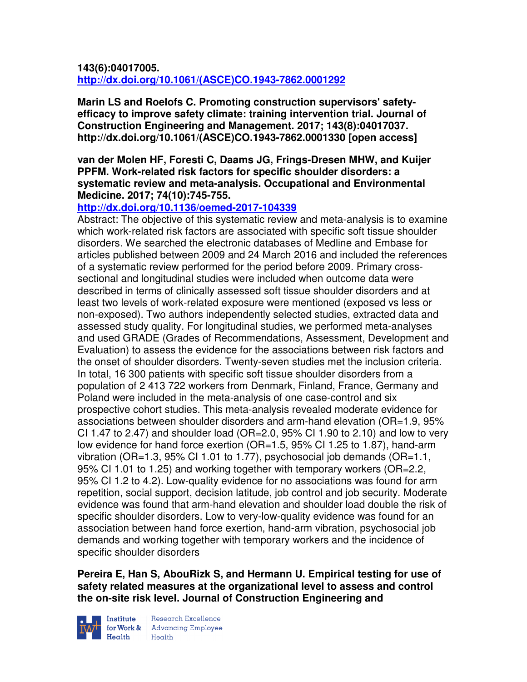**143(6):04017005. http://dx.doi.org/10.1061/(ASCE)CO.1943-7862.0001292** 

**Marin LS and Roelofs C. Promoting construction supervisors' safetyefficacy to improve safety climate: training intervention trial. Journal of Construction Engineering and Management. 2017; 143(8):04017037. http://dx.doi.org/10.1061/(ASCE)CO.1943-7862.0001330 [open access]** 

### **van der Molen HF, Foresti C, Daams JG, Frings-Dresen MHW, and Kuijer PPFM. Work-related risk factors for specific shoulder disorders: a systematic review and meta-analysis. Occupational and Environmental Medicine. 2017; 74(10):745-755.**

# **http://dx.doi.org/10.1136/oemed-2017-104339**

Abstract: The objective of this systematic review and meta-analysis is to examine which work-related risk factors are associated with specific soft tissue shoulder disorders. We searched the electronic databases of Medline and Embase for articles published between 2009 and 24 March 2016 and included the references of a systematic review performed for the period before 2009. Primary crosssectional and longitudinal studies were included when outcome data were described in terms of clinically assessed soft tissue shoulder disorders and at least two levels of work-related exposure were mentioned (exposed vs less or non-exposed). Two authors independently selected studies, extracted data and assessed study quality. For longitudinal studies, we performed meta-analyses and used GRADE (Grades of Recommendations, Assessment, Development and Evaluation) to assess the evidence for the associations between risk factors and the onset of shoulder disorders. Twenty-seven studies met the inclusion criteria. In total, 16 300 patients with specific soft tissue shoulder disorders from a population of 2 413 722 workers from Denmark, Finland, France, Germany and Poland were included in the meta-analysis of one case-control and six prospective cohort studies. This meta-analysis revealed moderate evidence for associations between shoulder disorders and arm-hand elevation (OR=1.9, 95% CI 1.47 to 2.47) and shoulder load ( $OR=2.0$ ,  $95\%$  CI 1.90 to 2.10) and low to very low evidence for hand force exertion (OR=1.5, 95% CI 1.25 to 1.87), hand-arm vibration (OR=1.3, 95% CI 1.01 to 1.77), psychosocial job demands (OR=1.1, 95% CI 1.01 to 1.25) and working together with temporary workers (OR=2.2, 95% CI 1.2 to 4.2). Low-quality evidence for no associations was found for arm repetition, social support, decision latitude, job control and job security. Moderate evidence was found that arm-hand elevation and shoulder load double the risk of specific shoulder disorders. Low to very-low-quality evidence was found for an association between hand force exertion, hand-arm vibration, psychosocial job demands and working together with temporary workers and the incidence of specific shoulder disorders

**Pereira E, Han S, AbouRizk S, and Hermann U. Empirical testing for use of safety related measures at the organizational level to assess and control the on-site risk level. Journal of Construction Engineering and** 



Institute Research Excellence<br>for Work & Advancing Employee<br>Health Health  $H_{\text{eath}}$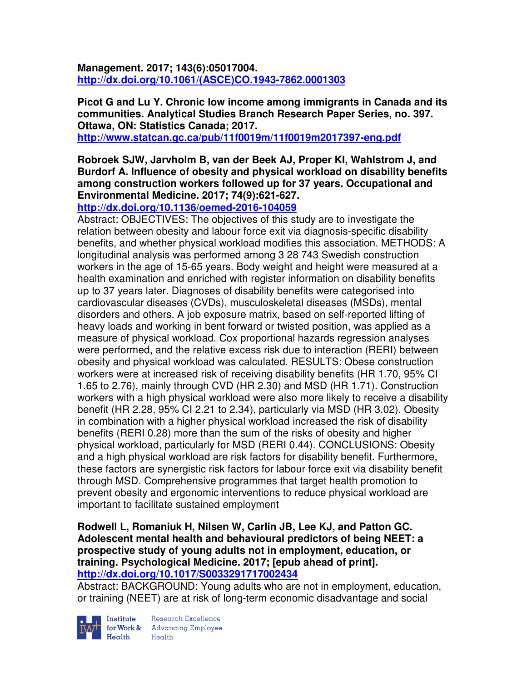**Management. 2017; 143(6):05017004. http://dx.doi.org/10.1061/(ASCE)CO.1943-7862.0001303** 

**Picot G and Lu Y. Chronic low income among immigrants in Canada and its communities. Analytical Studies Branch Research Paper Series, no. 397. Ottawa, ON: Statistics Canada; 2017.** 

**http://www.statcan.gc.ca/pub/11f0019m/11f0019m2017397-eng.pdf** 

**Robroek SJW, Jarvholm B, van der Beek AJ, Proper KI, Wahlstrom J, and Burdorf A. Influence of obesity and physical workload on disability benefits among construction workers followed up for 37 years. Occupational and Environmental Medicine. 2017; 74(9):621-627.** 

**http://dx.doi.org/10.1136/oemed-2016-104059** 

Abstract: OBJECTIVES: The objectives of this study are to investigate the relation between obesity and labour force exit via diagnosis-specific disability benefits, and whether physical workload modifies this association. METHODS: A longitudinal analysis was performed among 3 28 743 Swedish construction workers in the age of 15-65 years. Body weight and height were measured at a health examination and enriched with register information on disability benefits up to 37 years later. Diagnoses of disability benefits were categorised into cardiovascular diseases (CVDs), musculoskeletal diseases (MSDs), mental disorders and others. A job exposure matrix, based on self-reported lifting of heavy loads and working in bent forward or twisted position, was applied as a measure of physical workload. Cox proportional hazards regression analyses were performed, and the relative excess risk due to interaction (RERI) between obesity and physical workload was calculated. RESULTS: Obese construction workers were at increased risk of receiving disability benefits (HR 1.70, 95% CI 1.65 to 2.76), mainly through CVD (HR 2.30) and MSD (HR 1.71). Construction workers with a high physical workload were also more likely to receive a disability benefit (HR 2.28, 95% CI 2.21 to 2.34), particularly via MSD (HR 3.02). Obesity in combination with a higher physical workload increased the risk of disability benefits (RERI 0.28) more than the sum of the risks of obesity and higher physical workload, particularly for MSD (RERI 0.44). CONCLUSIONS: Obesity and a high physical workload are risk factors for disability benefit. Furthermore, these factors are synergistic risk factors for labour force exit via disability benefit through MSD. Comprehensive programmes that target health promotion to prevent obesity and ergonomic interventions to reduce physical workload are important to facilitate sustained employment

#### **Rodwell L, Romaniuk H, Nilsen W, Carlin JB, Lee KJ, and Patton GC. Adolescent mental health and behavioural predictors of being NEET: a prospective study of young adults not in employment, education, or training. Psychological Medicine. 2017; [epub ahead of print]. http://dx.doi.org/10.1017/S0033291717002434**

Abstract: BACKGROUND: Young adults who are not in employment, education, or training (NEET) are at risk of long-term economic disadvantage and social



**Institute** Research Excellence<br> **for Work &** Advancing Employee  $H_{\text{each}}$